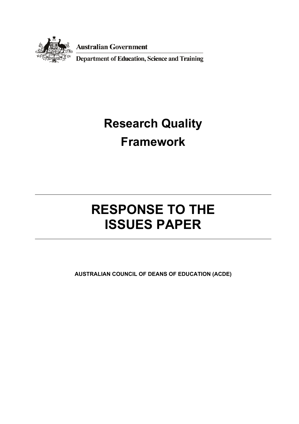

**Australian Government** 

**Department of Education, Science and Training** 

# **Research Quality Framework**

# **RESPONSE TO THE ISSUES PAPER**

**AUSTRALIAN COUNCIL OF DEANS OF EDUCATION (ACDE)**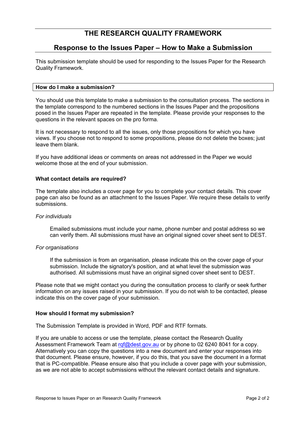### **THE RESEARCH QUALITY FRAMEWORK**

### **Response to the Issues Paper – How to Make a Submission**

This submission template should be used for responding to the Issues Paper for the Research Quality Framework.

#### **How do I make a submission?**

You should use this template to make a submission to the consultation process. The sections in the template correspond to the numbered sections in the Issues Paper and the propositions posed in the Issues Paper are repeated in the template. Please provide your responses to the questions in the relevant spaces on the pro forma.

It is not necessary to respond to all the issues, only those propositions for which you have views. If you choose not to respond to some propositions, please do not delete the boxes; just leave them blank.

If you have additional ideas or comments on areas not addressed in the Paper we would welcome those at the end of your submission.

#### **What contact details are required?**

The template also includes a cover page for you to complete your contact details. This cover page can also be found as an attachment to the Issues Paper. We require these details to verify submissions.

#### *For individuals*

Emailed submissions must include your name, phone number and postal address so we can verify them. All submissions must have an original signed cover sheet sent to DEST.

#### *For organisations*

If the submission is from an organisation, please indicate this on the cover page of your submission. Include the signatory's position, and at what level the submission was authorised. All submissions must have an original signed cover sheet sent to DEST.

Please note that we might contact you during the consultation process to clarify or seek further information on any issues raised in your submission. If you do not wish to be contacted, please indicate this on the cover page of your submission.

#### **How should I format my submission?**

The Submission Template is provided in Word, PDF and RTF formats.

If you are unable to access or use the template, please contact the Research Quality Assessment Framework Team at rgf@dest.gov.au or by phone to 02 6240 8041 for a copy. Alternatively you can copy the questions into a new document and enter your responses into that document. Please ensure, however, if you do this, that you save the document in a format that is PC-compatible. Please ensure also that you include a cover page with your submission, as we are not able to accept submissions without the relevant contact details and signature.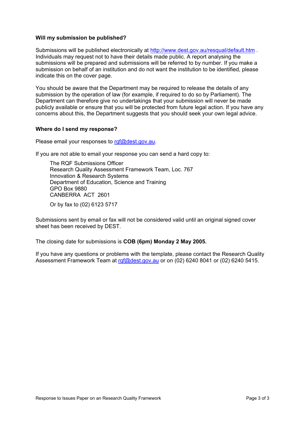#### **Will my submission be published?**

Submissions will be published electronically at http://www.dest.gov.au/resqual/default.htm . Individuals may request not to have their details made public. A report analysing the submissions will be prepared and submissions will be referred to by number. If you make a submission on behalf of an institution and do not want the institution to be identified, please indicate this on the cover page.

You should be aware that the Department may be required to release the details of any submission by the operation of law (for example, if required to do so by Parliament). The Department can therefore give no undertakings that your submission will never be made publicly available or ensure that you will be protected from future legal action. If you have any concerns about this, the Department suggests that you should seek your own legal advice.

#### **Where do I send my response?**

Please email your responses to rgf@dest.gov.au.

If you are not able to email your response you can send a hard copy to:

The RQF Submissions Officer Research Quality Assessment Framework Team, Loc. 767 Innovation & Research Systems Department of Education, Science and Training GPO Box 9880 CANBERRA ACT 2601

Or by fax to (02) 6123 5717

Submissions sent by email or fax will not be considered valid until an original signed cover sheet has been received by DEST.

The closing date for submissions is **COB (6pm) Monday 2 May 2005.** 

If you have any questions or problems with the template, please contact the Research Quality Assessment Framework Team at rqf@dest.gov.au or on (02) 6240 8041 or (02) 6240 5415.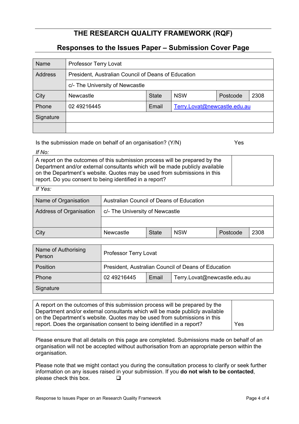## **THE RESEARCH QUALITY FRAMEWORK (RQF)**

### **Responses to the Issues Paper – Submission Cover Page**

| Name      | Professor Terry Lovat                               |              |                              |          |      |  |  |
|-----------|-----------------------------------------------------|--------------|------------------------------|----------|------|--|--|
| Address   | President, Australian Council of Deans of Education |              |                              |          |      |  |  |
|           | c/- The University of Newcastle                     |              |                              |          |      |  |  |
| City      | <b>Newcastle</b>                                    | <b>State</b> | <b>NSW</b>                   | Postcode | 2308 |  |  |
| Phone     | 02 49216445                                         | Email        | Terry.Lovat@newcastle.edu.au |          |      |  |  |
| Signature |                                                     |              |                              |          |      |  |  |
|           |                                                     |              |                              |          |      |  |  |

Is the submission made on behalf of an organisation? (Y/N) Yes

#### *If No:*

A report on the outcomes of this submission process will be prepared by the Department and/or external consultants which will be made publicly available on the Department's website. Quotes may be used from submissions in this report. Do you consent to being identified in a report?

*If Yes:* 

| Name of Organisation    | Australian Council of Deans of Education |              |            |          |      |  |
|-------------------------|------------------------------------------|--------------|------------|----------|------|--|
| Address of Organisation | c/- The University of Newcastle          |              |            |          |      |  |
|                         |                                          |              |            |          |      |  |
| City                    | Newcastle                                | <b>State</b> | <b>NSW</b> | Postcode | 2308 |  |

| Name of Authorising<br>Person | <b>Professor Terry Lovat</b>                        |       |                              |  |  |
|-------------------------------|-----------------------------------------------------|-------|------------------------------|--|--|
| Position                      | President, Australian Council of Deans of Education |       |                              |  |  |
| Phone                         | 02 49216445                                         | Email | Terry.Lovat@newcastle.edu.au |  |  |
| Signature                     |                                                     |       |                              |  |  |

| A report on the outcomes of this submission process will be prepared by the<br>Department and/or external consultants which will be made publicly available<br>on the Department's website. Quotes may be used from submissions in this<br>report. Does the organisation consent to being identified in a report? | Yes |
|-------------------------------------------------------------------------------------------------------------------------------------------------------------------------------------------------------------------------------------------------------------------------------------------------------------------|-----|
|-------------------------------------------------------------------------------------------------------------------------------------------------------------------------------------------------------------------------------------------------------------------------------------------------------------------|-----|

Please ensure that all details on this page are completed. Submissions made on behalf of an organisation will not be accepted without authorisation from an appropriate person within the organisation.

Please note that we might contact you during the consultation process to clarify or seek further information on any issues raised in your submission. If you **do not wish to be contacted**, please check this box.  $\square$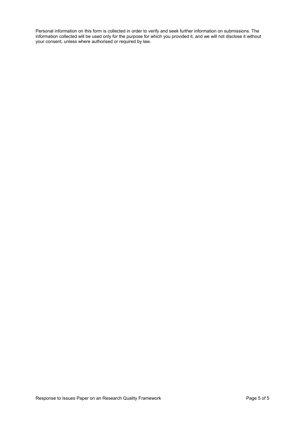Personal information on this form is collected in order to verify and seek further information on submissions. The information collected will be used only for the purpose for which you provided it, and we will not disclose it without your consent, unless where authorised or required by law.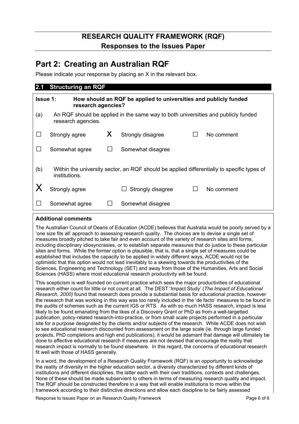# **RESEARCH QUALITY FRAMEWORK (RQF) Responses to the Issues Paper**

# **Part 2: Creating an Australian RQF**

Please indicate your response by placing an X in the relevant box.

| 2.1 | <b>Structuring an RQF</b>                                                                                 |   |                                                                                            |  |            |  |  |
|-----|-----------------------------------------------------------------------------------------------------------|---|--------------------------------------------------------------------------------------------|--|------------|--|--|
|     | <b>Issue 1:</b><br>How should an RQF be applied to universities and publicly funded<br>research agencies? |   |                                                                                            |  |            |  |  |
| (a) | An RQF should be applied in the same way to both universities and publicly funded<br>research agencies.   |   |                                                                                            |  |            |  |  |
|     | Strongly agree                                                                                            | Χ | Strongly disagree                                                                          |  | No comment |  |  |
|     | Somewhat agree                                                                                            |   | Somewhat disagree                                                                          |  |            |  |  |
| (b) | institutions.                                                                                             |   | Within the university sector, an RQF should be applied differentially to specific types of |  |            |  |  |
|     | Strongly agree                                                                                            |   | Strongly disagree                                                                          |  | No comment |  |  |
|     | Somewhat agree                                                                                            |   | Somewhat disagree                                                                          |  |            |  |  |

#### **Additional comments**

The Australian Council of Deans of Education (ACDE) believes that Australia would be poorly served by a 'one size fits all' approach to assessing research quality. The choices are to devise a single set of measures broadly pitched to take fair and even account of the variety of research sites and forms, including disciplinary idiosyncrasies, or to establish separate measures that do justice to these particular sites and forms. While the former option is plausible, that is, that a single set of measures could be established that includes the capacity to be applied in widely different ways, ACDE would not be optimistic that this option would not lead inevitably to a skewing towards the productivities of the Sciences, Engineering and Technology (SET) and away from those of the Humanities, Arts and Social Sciences (HASS) where most educational research productivity will be found.

This scepticism is well founded on current practice which sees the major productivities of educational research either count for little or not count at all. The DEST 'Impact Study' (*The Impact of Educational Research, 2000)* found that research does provide a substantial basis for educational practice, however the research that was working in this way was too rarely included in the 'de facto' measures to be found in the audits of schemes such as the current IGS or RTS. As with so much HASS research, impact is less likely to be found emanating from the likes of a Discovery Grant or PhD as from a well-targetted publication, policy-related research-into-practice, or from small scale projects performed in a particular site for a purpose designated by the clients and/or subjects of the research. While ACDE does not wish to see educational research discounted from assessment on the large scale (ie. through large funded projects, PhD completions and high end publications), it would be adamant that damage will ultimately be done to effective educational research if measures are not devised that encourage the reality that research impact is normally to be found elsewhere. In this regard, the concerns of educational research fit well with those of HASS generally.

In a word, the development of a Research Quality Framework (RQF) is an opportunity to acknowledge the reality of diversity in the higher education sector, a diversity characterized by different kinds of institutions and different disciplines, the latter each with their own traditions, contexts and challenges. None of these should be made subservient to others in terms of measuring research quality and impact. The RQF should be constructed therefore in a way that will enable institutions to move within the framework according to their distinctive directions and allow each discipline to be fairly assessed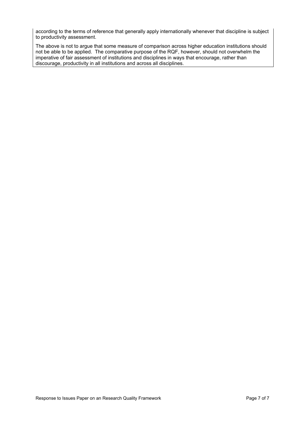according to the terms of reference that generally apply internationally whenever that discipline is subject to productivity assessment.

The above is not to argue that some measure of comparison across higher education institutions should not be able to be applied. The comparative purpose of the RQF, however, should not overwhelm the imperative of fair assessment of institutions and disciplines in ways that encourage, rather than discourage, productivity in all institutions and across all disciplines.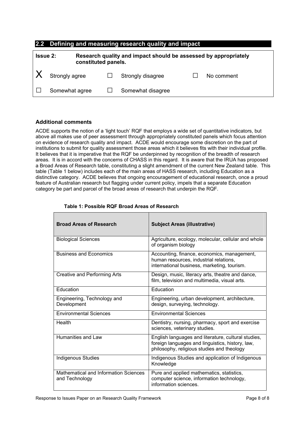#### **2.2 Defining and measuring research quality and impact**

| Research quality and impact should be assessed by appropriately<br><b>Issue 2:</b><br>constituted panels. |                |  |                   |            |
|-----------------------------------------------------------------------------------------------------------|----------------|--|-------------------|------------|
|                                                                                                           | Strongly agree |  | Strongly disagree | No comment |
|                                                                                                           | Somewhat agree |  | Somewhat disagree |            |

#### **Additional comments**

ACDE supports the notion of a 'light touch' RQF that employs a wide set of quantitative indicators, but above all makes use of peer assessment through appropriately constituted panels which focus attention on evidence of research quality and impact. ACDE would encourage some discretion on the part of institutions to submit for quality assessment those areas which it believes fits with their individual profile. It believes that it is imperative that the RQF be underpinned by recognition of the breadth of research areas. It is in accord with the concerns of CHASS in this regard. It is aware that the IRUA has proposed a Broad Areas of Research table, constituting a slight amendment of the current New Zealand table. This table (Table 1 below) includes each of the main areas of HASS research, including Education as a distinctive category. ACDE believes that ongoing encouragement of educational research, once a proud feature of Australian research but flagging under current policy, impels that a separate Education category be part and parcel of the broad areas of research that underpin the RQF.

| <b>Broad Areas of Research</b>                          | <b>Subject Areas (illustrative)</b>                                                                                                                   |
|---------------------------------------------------------|-------------------------------------------------------------------------------------------------------------------------------------------------------|
| <b>Biological Sciences</b>                              | Agriculture, ecology, molecular, cellular and whole<br>of organism biology                                                                            |
| <b>Business and Economics</b>                           | Accounting, finance, economics, management,<br>human resources, industrial relations,<br>international business, marketing, tourism.                  |
| Creative and Performing Arts                            | Design, music, literacy arts, theatre and dance,<br>film, television and multimedia, visual arts.                                                     |
| Education                                               | Education                                                                                                                                             |
| Engineering, Technology and<br>Development              | Engineering, urban development, architecture,<br>design, surveying, technology.                                                                       |
| <b>Environmental Sciences</b>                           | <b>Environmental Sciences</b>                                                                                                                         |
| Health                                                  | Dentistry, nursing, pharmacy, sport and exercise<br>sciences, veterinary studies.                                                                     |
| Humanities and Law                                      | English languages and literature, cultural studies,<br>foreign languages and linguistics, history, law,<br>philosophy, religious studies and theology |
| <b>Indigenous Studies</b>                               | Indigenous Studies and application of Indigenous<br>Knowledge                                                                                         |
| Mathematical and Information Sciences<br>and Technology | Pure and applied mathematics, statistics,<br>computer science, information technology,<br>information sciences.                                       |

#### **Table 1: Possible RQF Broad Areas of Research**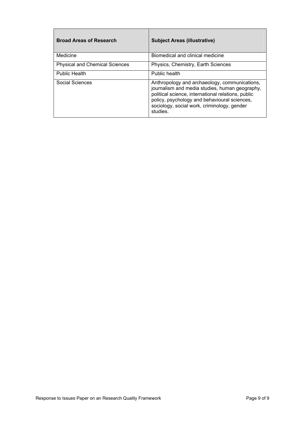| <b>Broad Areas of Research</b>        | <b>Subject Areas (illustrative)</b>                                                                                                                                                                                                                              |
|---------------------------------------|------------------------------------------------------------------------------------------------------------------------------------------------------------------------------------------------------------------------------------------------------------------|
| Medicine                              | Biomedical and clinical medicine                                                                                                                                                                                                                                 |
| <b>Physical and Chemical Sciences</b> | Physics, Chemistry, Earth Sciences                                                                                                                                                                                                                               |
| <b>Public Health</b>                  | Public health                                                                                                                                                                                                                                                    |
| Social Sciences                       | Anthropology and archaeology, communications,<br>journalism and media studies, human geography,<br>political science, international relations, public<br>policy, psychology and behavioural sciences,<br>sociology, social work, criminology, gender<br>studies. |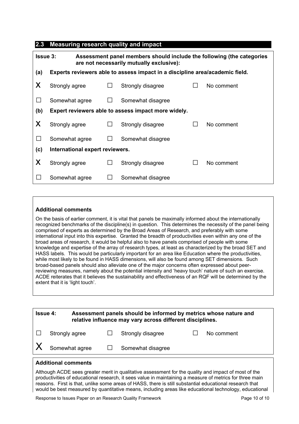#### **2.3 Measuring research quality and impact**

| <b>Issue 3:</b><br>Assessment panel members should include the following (the categories<br>are not necessarily mutually exclusive): |                                                     |  |                                                                              |  |            |  |
|--------------------------------------------------------------------------------------------------------------------------------------|-----------------------------------------------------|--|------------------------------------------------------------------------------|--|------------|--|
| (a)                                                                                                                                  |                                                     |  | Experts reviewers able to assess impact in a discipline area/academic field. |  |            |  |
| X                                                                                                                                    | Strongly agree                                      |  | Strongly disagree                                                            |  | No comment |  |
| $\Box$                                                                                                                               | Somewhat agree                                      |  | Somewhat disagree                                                            |  |            |  |
| (b)                                                                                                                                  | Expert reviewers able to assess impact more widely. |  |                                                                              |  |            |  |
| X                                                                                                                                    | Strongly agree                                      |  | Strongly disagree                                                            |  | No comment |  |
| $\mathcal{L}_{\mathcal{A}}$                                                                                                          | Somewhat agree                                      |  | Somewhat disagree                                                            |  |            |  |
| (c)                                                                                                                                  | International expert reviewers.                     |  |                                                                              |  |            |  |
| X                                                                                                                                    | Strongly agree                                      |  | Strongly disagree                                                            |  | No comment |  |
|                                                                                                                                      | Somewhat agree                                      |  | Somewhat disagree                                                            |  |            |  |

#### **Additional comments**

On the basis of earlier comment, it is vital that panels be maximally informed about the internationally recognized benchmarks of the discipline(s) in question. This determines the necessity of the panel being comprised of experts as determined by the Broad Areas of Research, and preferably with some international input into this expertise. Granted the breadth of productivities even within any one of the broad areas of research, it would be helpful also to have panels comprised of people with some knowledge and expertise of the array of research types, at least as characterized by the broad SET and HASS labels. This would be particularly important for an area like Education where the productivities, while most likely to be found in HASS dimensions, will also be found among SET dimensions. Such broad-based panels should also alleviate one of the major concerns often expressed about peerreviewing measures, namely about the potential intensity and 'heavy touch' nature of such an exercise. ACDE reiterates that it believes the sustainability and effectiveness of an RQF will be determined by the extent that it is 'light touch'.

| <b>Issue 4:</b> |                |                          | Assessment panels should be informed by metrics whose nature and<br>relative influence may vary across different disciplines. |  |            |  |
|-----------------|----------------|--------------------------|-------------------------------------------------------------------------------------------------------------------------------|--|------------|--|
|                 | Strongly agree |                          | Strongly disagree                                                                                                             |  | No comment |  |
|                 |                | Somewhat agree $\square$ | Somewhat disagree                                                                                                             |  |            |  |

#### **Additional comments**

Although ACDE sees greater merit in qualitative assessment for the quality and impact of most of the productivities of educational research, it sees value in maintaining a measure of metrics for three main reasons. First is that, unlike some areas of HASS, there is still substantial educational research that would be best measured by quantitative means, including areas like educational technology, educational

Response to Issues Paper on an Research Quality Framework **Page 10 of 10** Page 10 of 10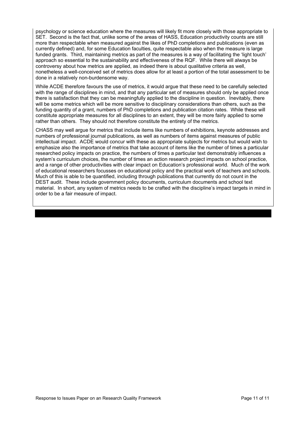psychology or science education where the measures will likely fit more closely with those appropriate to SET. Second is the fact that, unlike some of the areas of HASS, Education productivity counts are still more than respectable when measured against the likes of PhD completions and publications (even as currently defined) and, for some Education faculties, quite respectable also when the measure is large funded grants. Third, maintaining metrics as part of the measures is a way of facilitating the 'light touch' approach so essential to the sustainability and effectiveness of the RQF. While there will always be controversy about how metrics are applied, as indeed there is about qualitative criteria as well, nonetheless a well-conceived set of metrics does allow for at least a portion of the total assessment to be done in a relatively non-burdensome way.

While ACDE therefore favours the use of metrics, it would argue that these need to be carefully selected with the range of disciplines in mind, and that any particular set of measures should only be applied once there is satisfaction that they can be meaningfully applied to the discipline in question. Inevitably, there will be some metrics which will be more sensitive to disciplinary considerations than others, such as the funding quantity of a grant, numbers of PhD completions and publication citation rates. While these will constitute appropriate measures for all disciplines to an extent, they will be more fairly applied to some rather than others. They should not therefore constitute the entirety of the metrics.

CHASS may well argue for metrics that include items like numbers of exhibitions, keynote addresses and numbers of professional journal publications, as well as numbers of items against measures of public intellectual impact. ACDE would concur with these as appropriate subjects for metrics but would wish to emphasize also the importance of metrics that take account of items like the number of times a particular researched policy impacts on practice, the numbers of times a particular text demonstrably influences a system's curriculum choices, the number of times an action research project impacts on school practice, and a range of other productivities with clear impact on Education's professional world. Much of the work of educational researchers focusses on educational policy and the practical work of teachers and schools. Much of this is able to be quantified, including through publications that currently do not count in the DEST audit. These include government policy documents, curriculum documents and school text material. In short, any system of metrics needs to be crafted with the discipline's impact targets in mind in order to be a fair measure of impact.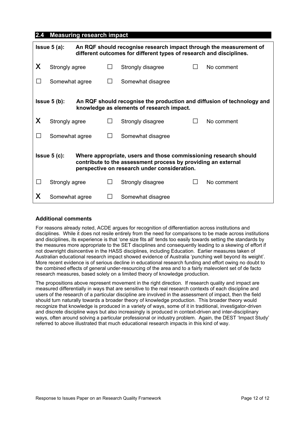#### **2.4 Measuring research impact**

| An RQF should recognise research impact through the measurement of<br>$l$ ssue 5 (a):<br>different outcomes for different types of research and disciplines.                                        |                |  |              |                   |              |            |
|-----------------------------------------------------------------------------------------------------------------------------------------------------------------------------------------------------|----------------|--|--------------|-------------------|--------------|------------|
| X                                                                                                                                                                                                   | Strongly agree |  | $\mathsf{L}$ | Strongly disagree | $\mathsf{L}$ | No comment |
| $\Box$                                                                                                                                                                                              | Somewhat agree |  |              | Somewhat disagree |              |            |
| $l$ ssue 5 $(b)$ :<br>An RQF should recognise the production and diffusion of technology and<br>knowledge as elements of research impact.                                                           |                |  |              |                   |              |            |
| X                                                                                                                                                                                                   | Strongly agree |  |              | Strongly disagree |              | No comment |
| $\perp$                                                                                                                                                                                             | Somewhat agree |  | $\mathbf{I}$ | Somewhat disagree |              |            |
| $lssue 5(c)$ :<br>Where appropriate, users and those commissioning research should<br>contribute to the assessment process by providing an external<br>perspective on research under consideration. |                |  |              |                   |              |            |
| $\mathsf{L}$                                                                                                                                                                                        | Strongly agree |  |              | Strongly disagree |              | No comment |
| X                                                                                                                                                                                                   | Somewhat agree |  |              | Somewhat disagree |              |            |

#### **Additional comments**

For reasons already noted, ACDE argues for recognition of differentiation across institutions and disciplines. While it does not resile entirely from the need for comparisons to be made across institutions and disciplines, its experience is that 'one size fits all' tends too easily towards setting the standards by the measures more appropriate to the SET disciplines and consequently leading to a skewing of effort if not downright disincentive in the HASS disciplines, including Education. Earlier measures taken of Australian educational research impact showed evidence of Australia 'punching well beyond its weight'. More recent evidence is of serious decline in educational research funding and effort owing no doubt to the combined effects of general under-resourcing of the area and to a fairly malevolent set of de facto research measures, based solely on a limited theory of knowledge production.

The propositions above represent movement in the right direction. If research quality and impact are measured differentially in ways that are sensitive to the real research contexts of each discipline and users of the research of a particular discipline are involved in the assessment of impact, then the field should turn naturally towards a broader theory of knowledge production. This broader theory would recognize that knowledge is produced in a variety of ways, some of it in traditional, investigator-driven and discrete discipline ways but also increasingly is produced in context-driven and inter-disciplinary ways, often around solving a particular professional or industry problem. Again, the DEST 'Impact Study' referred to above illustrated that much educational research impacts in this kind of way.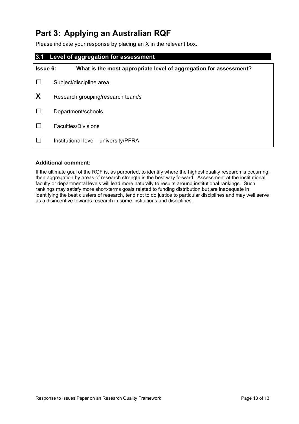# **Part 3: Applying an Australian RQF**

Please indicate your response by placing an X in the relevant box.

# **3.1 Level of aggregation for assessment Issue 6: What is the most appropriate level of aggregation for assessment?**  □ Subject/discipline area  $X$  Research grouping/research team/s □ Department/schools □ Faculties/Divisions □ Institutional level - university/PFRA

#### **Additional comment:**

If the ultimate goal of the RQF is, as purported, to identify where the highest quality research is occurring, then aggregation by areas of research strength is the best way forward. Assessment at the institutional, faculty or departmental levels will lead more naturally to results around institutional rankings. Such rankings may satisfy more short-terms goals related to funding distribution but are inadequate in identifying the best clusters of research, tend not to do justice to particular disciplines and may well serve as a disincentive towards research in some institutions and disciplines.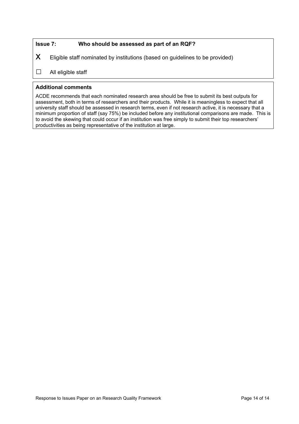#### **Issue 7: Who should be assessed as part of an RQF?**

 $X$  Eligible staff nominated by institutions (based on guidelines to be provided)

#### □ All eligible staff

#### **Additional comments**

ACDE recommends that each nominated research area should be free to submit its best outputs for assessment, both in terms of researchers and their products. While it is meaningless to expect that all university staff should be assessed in research terms, even if not research active, it is necessary that a minimum proportion of staff (say 75%) be included before any institutional comparisons are made. This is to avoid the skewing that could occur if an institution was free simply to submit their top researchers' productivities as being representative of the institution at large.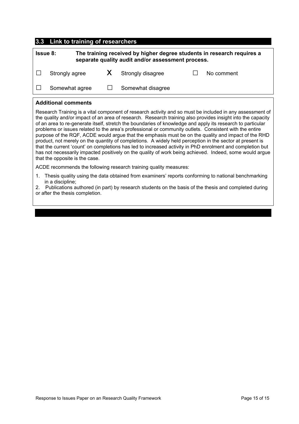#### **3.3 Link to training of researchers**

| <b>Issue 8:</b> |                | The training received by higher degree students in research requires a<br>separate quality audit and/or assessment process. |                     |  |            |
|-----------------|----------------|-----------------------------------------------------------------------------------------------------------------------------|---------------------|--|------------|
|                 | Strongly agree |                                                                                                                             | X Strongly disagree |  | No comment |
|                 | Somewhat agree |                                                                                                                             | Somewhat disagree   |  |            |
|                 |                |                                                                                                                             |                     |  |            |

#### **Additional comments**

Research Training is a vital component of research activity and so must be included in any assessment of the quality and/or impact of an area of research. Research training also provides insight into the capacity of an area to re-generate itself, stretch the boundaries of knowledge and apply its research to particular problems or issues related to the area's professional or community outlets. Consistent with the entire purpose of the RQF, ACDE would argue that the emphasis must be on the quality and impact of the RHD product, not merely on the quantity of completions. A widely held perception in the sector at present is that the current 'count' on completions has led to increased activity in PhD enrolment and completion but has not necessarily impacted positively on the quality of work being achieved. Indeed, some would argue that the opposite is the case.

ACDE recommends the following research training quality measures:

1. Thesis quality using the data obtained from examiners' reports conforming to national benchmarking in a discipline;

2. Publications authored (in part) by research students on the basis of the thesis and completed during or after the thesis completion.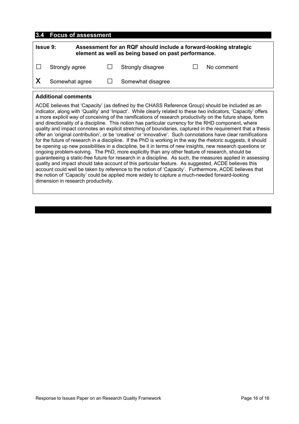#### **3.4 Focus of assessment**

| Assessment for an RQF should include a forward-looking strategic<br><b>Issue 9:</b><br>element as well as being based on past performance. |  |                   |  |            |  |
|--------------------------------------------------------------------------------------------------------------------------------------------|--|-------------------|--|------------|--|
| Strongly agree                                                                                                                             |  | Strongly disagree |  | No comment |  |
| Somewhat agree                                                                                                                             |  | Somewhat disagree |  |            |  |

#### **Additional comments**

ACDE believes that 'Capacity' (as defined by the CHASS Reference Group) should be included as an indicator, along with 'Quality' and 'Impact'. While clearly related to these two indicators, 'Capacity' offers a more explicit way of conceiving of the ramifications of research productivity on the future shape, form and directionality of a discipline. This notion has particular currency for the RHD component, where quality and impact connotes an explicit stretching of boundaries, captured in the requirement that a thesis offer an 'original contribution', or be 'creative' or 'innovative'. Such connotations have clear ramifications for the future of research in a discipline. If the PhD is working in the way the rhetoric suggests, it should be opening up new possibilities in a discipline, be it in terms of new insights, new research questions or ongoing problem-solving. The PhD, more explicitly than any other feature of research, should be guaranteeing a static-free future for research in a discipline. As such, the measures applied in assessing quality and impact should take account of this particular feature. As suggested, ACDE believes this account could well be taken by reference to the notion of 'Capacity'. Furthermore, ACDE believes that the notion of 'Capacity' could be applied more widely to capture a much-needed forward-looking dimension in research productivity.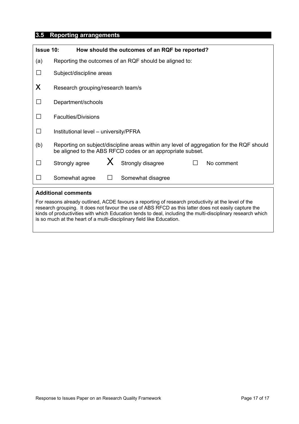## **3.5 Reporting arrangements**

| <b>Issue 10:</b><br>How should the outcomes of an RQF be reported?                                                                                                                                                                                                                                                                                                                                  |                                                                                                                                                        |         |                   |        |            |  |
|-----------------------------------------------------------------------------------------------------------------------------------------------------------------------------------------------------------------------------------------------------------------------------------------------------------------------------------------------------------------------------------------------------|--------------------------------------------------------------------------------------------------------------------------------------------------------|---------|-------------------|--------|------------|--|
| (a)                                                                                                                                                                                                                                                                                                                                                                                                 | Reporting the outcomes of an RQF should be aligned to:                                                                                                 |         |                   |        |            |  |
|                                                                                                                                                                                                                                                                                                                                                                                                     | Subject/discipline areas                                                                                                                               |         |                   |        |            |  |
| X                                                                                                                                                                                                                                                                                                                                                                                                   | Research grouping/research team/s                                                                                                                      |         |                   |        |            |  |
| $\Box$                                                                                                                                                                                                                                                                                                                                                                                              | Department/schools                                                                                                                                     |         |                   |        |            |  |
| $\Box$                                                                                                                                                                                                                                                                                                                                                                                              | <b>Faculties/Divisions</b>                                                                                                                             |         |                   |        |            |  |
| $\Box$                                                                                                                                                                                                                                                                                                                                                                                              | Institutional level - university/PFRA                                                                                                                  |         |                   |        |            |  |
| (b)                                                                                                                                                                                                                                                                                                                                                                                                 | Reporting on subject/discipline areas within any level of aggregation for the RQF should<br>be aligned to the ABS RFCD codes or an appropriate subset. |         |                   |        |            |  |
| $\Box$                                                                                                                                                                                                                                                                                                                                                                                              | Strongly agree                                                                                                                                         | $X_{-}$ | Strongly disagree | $\Box$ | No comment |  |
| ד ו                                                                                                                                                                                                                                                                                                                                                                                                 | Somewhat agree                                                                                                                                         | $\Box$  | Somewhat disagree |        |            |  |
| <b>Additional comments</b>                                                                                                                                                                                                                                                                                                                                                                          |                                                                                                                                                        |         |                   |        |            |  |
| For reasons already outlined, ACDE favours a reporting of research productivity at the level of the<br>research grouping. It does not favour the use of ABS RFCD as this latter does not easily capture the<br>kinds of productivities with which Education tends to deal, including the multi-disciplinary research which<br>is so much at the heart of a multi-disciplinary field like Education. |                                                                                                                                                        |         |                   |        |            |  |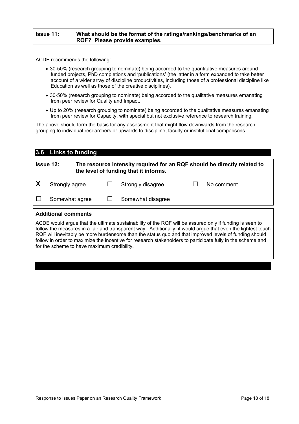#### **Issue 11: What should be the format of the ratings/rankings/benchmarks of an RQF? Please provide examples.**

ACDE recommends the following:

- 30-50% (research grouping to nominate) being accorded to the quantitative measures around funded projects, PhD completions and 'publications' (the latter in a form expanded to take better account of a wider array of discipline productivities, including those of a professional discipline like Education as well as those of the creative disciplines).
- 30-50% (research grouping to nominate) being accorded to the qualitative measures emanating from peer review for Quality and Impact.
- Up to 20% (research grouping to nominate) being accorded to the qualitative measures emanating from peer review for Capacity, with special but not exclusive reference to research training.

The above should form the basis for any assessment that might flow downwards from the research grouping to individual researchers or upwards to discipline, faculty or institutional comparisons.

# **3.6 Links to funding Issue 12: The resource intensity required for an RQF should be directly related to the level of funding that it informs.**

| X | Strongly agree | Strongly disagree | No comment |
|---|----------------|-------------------|------------|
|   | Somewhat agree | Somewhat disagree |            |

#### **Additional comments**

ACDE would argue that the ultimate sustainability of the RQF will be assured only if funding is seen to follow the measures in a fair and transparent way. Additionally, it would argue that even the lightest touch RQF will inevitably be more burdensome than the status quo and that improved levels of funding should follow in order to maximize the incentive for research stakeholders to participate fully in the scheme and for the scheme to have maximum credibility.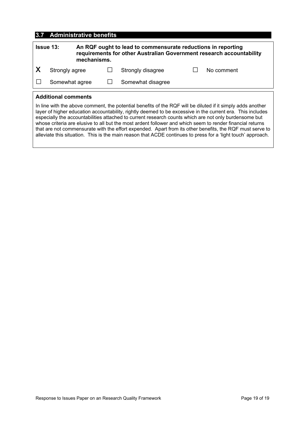#### **3.7 Administrative benefits**

| <b>Issue 13:</b><br>mechanisms.                                                                                                          |                |  | An RQF ought to lead to commensurate reductions in reporting<br>requirements for other Australian Government research accountability |  |            |  |  |
|------------------------------------------------------------------------------------------------------------------------------------------|----------------|--|--------------------------------------------------------------------------------------------------------------------------------------|--|------------|--|--|
| -X                                                                                                                                       | Strongly agree |  | Strongly disagree                                                                                                                    |  | No comment |  |  |
|                                                                                                                                          | Somewhat agree |  | Somewhat disagree                                                                                                                    |  |            |  |  |
| <b>Additional comments</b><br>In line with the above comment the notential benefits of the ROF will be diluted if it simply adds another |                |  |                                                                                                                                      |  |            |  |  |

In line with the above comment, the potential benefits of the RQF will be diluted if it simply adds another layer of higher education accountability, rightly deemed to be excessive in the current era. This includes especially the accountabilities attached to current research counts which are not only burdensome but whose criteria are elusive to all but the most ardent follower and which seem to render financial returns that are not commensurate with the effort expended. Apart from its other benefits, the RQF must serve to alleviate this situation. This is the main reason that ACDE continues to press for a 'light touch' approach.